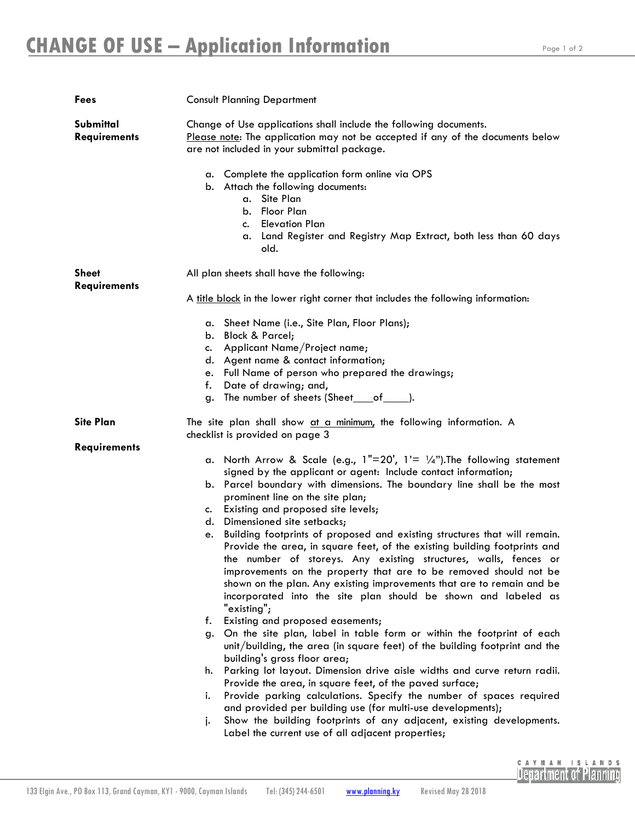| Fees                                | <b>Consult Planning Department</b>                                                                                                                                                                                                                                                                                                                                                                                                                                                                                                                                                                                                                                                                                                                                                                                                                                                                                                                                                                                                                                                                                                                                                                                                                                                                                                                                                                                                                                                 |
|-------------------------------------|------------------------------------------------------------------------------------------------------------------------------------------------------------------------------------------------------------------------------------------------------------------------------------------------------------------------------------------------------------------------------------------------------------------------------------------------------------------------------------------------------------------------------------------------------------------------------------------------------------------------------------------------------------------------------------------------------------------------------------------------------------------------------------------------------------------------------------------------------------------------------------------------------------------------------------------------------------------------------------------------------------------------------------------------------------------------------------------------------------------------------------------------------------------------------------------------------------------------------------------------------------------------------------------------------------------------------------------------------------------------------------------------------------------------------------------------------------------------------------|
| Submittal<br><b>Requirements</b>    | Change of Use applications shall include the following documents.<br>Please note: The application may not be accepted if any of the documents below<br>are not included in your submittal package.                                                                                                                                                                                                                                                                                                                                                                                                                                                                                                                                                                                                                                                                                                                                                                                                                                                                                                                                                                                                                                                                                                                                                                                                                                                                                 |
|                                     | a. Complete the application form online via OPS<br>b. Attach the following documents:<br>a. Site Plan<br>b. Floor Plan<br><b>Elevation Plan</b><br>c.<br>a. Land Register and Registry Map Extract, both less than 60 days<br>old.                                                                                                                                                                                                                                                                                                                                                                                                                                                                                                                                                                                                                                                                                                                                                                                                                                                                                                                                                                                                                                                                                                                                                                                                                                                 |
| <b>Sheet</b><br><b>Requirements</b> | All plan sheets shall have the following:                                                                                                                                                                                                                                                                                                                                                                                                                                                                                                                                                                                                                                                                                                                                                                                                                                                                                                                                                                                                                                                                                                                                                                                                                                                                                                                                                                                                                                          |
|                                     | A title block in the lower right corner that includes the following information:                                                                                                                                                                                                                                                                                                                                                                                                                                                                                                                                                                                                                                                                                                                                                                                                                                                                                                                                                                                                                                                                                                                                                                                                                                                                                                                                                                                                   |
|                                     | a. Sheet Name (i.e., Site Plan, Floor Plans);<br>b. Block & Parcel;<br>Applicant Name/Project name;<br>c.<br>d. Agent name & contact information;<br>e. Full Name of person who prepared the drawings;<br>Date of drawing; and,<br>f.<br>g. The number of sheets (Sheet ___ of ______).                                                                                                                                                                                                                                                                                                                                                                                                                                                                                                                                                                                                                                                                                                                                                                                                                                                                                                                                                                                                                                                                                                                                                                                            |
| <b>Site Plan</b>                    | The site plan shall show at a minimum, the following information. A<br>checklist is provided on page 3                                                                                                                                                                                                                                                                                                                                                                                                                                                                                                                                                                                                                                                                                                                                                                                                                                                                                                                                                                                                                                                                                                                                                                                                                                                                                                                                                                             |
| <b>Requirements</b>                 | a. North Arrow & Scale (e.g., $1"=20'$ , $1'=1/4"$ ). The following statement<br>signed by the applicant or agent: Include contact information;<br>b. Parcel boundary with dimensions. The boundary line shall be the most<br>prominent line on the site plan;<br>c. Existing and proposed site levels;<br>Dimensioned site setbacks;<br>d.<br>Building footprints of proposed and existing structures that will remain.<br>е.<br>Provide the area, in square feet, of the existing building footprints and<br>the number of storeys. Any existing structures, walls, fences or<br>improvements on the property that are to be removed should not be<br>shown on the plan. Any existing improvements that are to remain and be<br>incorporated into the site plan should be shown and labeled as<br>"existing";<br>Existing and proposed easements;<br>f.<br>On the site plan, label in table form or within the footprint of each<br>g.<br>unit/building, the area (in square feet) of the building footprint and the<br>building's gross floor area;<br>Parking lot layout. Dimension drive aisle widths and curve return radii.<br>h.<br>Provide the area, in square feet, of the paved surface;<br>Provide parking calculations. Specify the number of spaces required<br>i.<br>and provided per building use (for multi-use developments);<br>Show the building footprints of any adjacent, existing developments.<br>j.<br>Label the current use of all adjacent properties; |